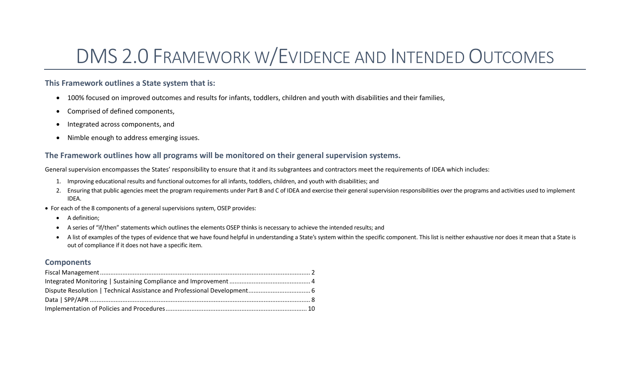# DMS 2.0 FRAMEWORK W/EVIDENCE AND INTENDED OUTCOMES

#### **This Framework outlines a State system that is:**

- 100% focused on improved outcomes and results for infants, toddlers, children and youth with disabilities and their families,
- Comprised of defined components,
- Integrated across components, and
- Nimble enough to address emerging issues.

#### **The Framework outlines how all programs will be monitored on their general supervision systems.**

General supervision encompasses the States' responsibility to ensure that it and its subgrantees and contractors meet the requirements of IDEA which includes:

- 1. Improving educational results and functional outcomes for all infants, toddlers, children, and youth with disabilities; and
- 2. Ensuring that public agencies meet the program requirements under Part B and C of IDEA and exercise their general supervision responsibilities over the programs and activities used to implement IDEA.
- For each of the 8 components of a general supervisions system, OSEP provides:
	- A definition;
	- A series of "if/then" statements which outlines the elements OSEP thinks is necessary to achieve the intended results; and
	- A list of examples of the types of evidence that we have found helpful in understanding a State's system within the specific component. This list is neither exhaustive nor does it mean that a State is out of compliance if it does not have a specific item.

#### **Components**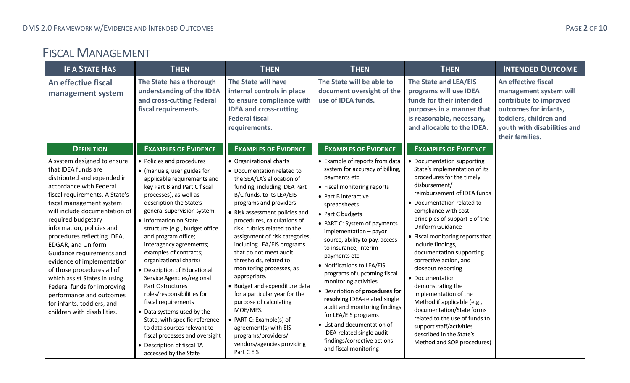## <span id="page-1-0"></span>FISCAL MANAGEMENT

| <b>IF A STATE HAS</b>                                                                                                                                                                                                                                                                                                                                                                                                                                                                                                                                                | <b>THEN</b>                                                                                                                                                                                                                                                                                                                                                                                                                                                                                                                                                                                                                                                                                                  | <b>THEN</b>                                                                                                                                                                                                                                                                                                                                                                                                                                                                                                                                                                                                                                                                | <b>THEN</b>                                                                                                                                                                                                                                                                                                                                                                                                                                                                                                                                                                                                                                                | <b>THEN</b>                                                                                                                                                                                                                                                                                                                                                                                                                                                                                                                                                                                                                                    | <b>INTENDED OUTCOME</b>                                                                                                                                                      |
|----------------------------------------------------------------------------------------------------------------------------------------------------------------------------------------------------------------------------------------------------------------------------------------------------------------------------------------------------------------------------------------------------------------------------------------------------------------------------------------------------------------------------------------------------------------------|--------------------------------------------------------------------------------------------------------------------------------------------------------------------------------------------------------------------------------------------------------------------------------------------------------------------------------------------------------------------------------------------------------------------------------------------------------------------------------------------------------------------------------------------------------------------------------------------------------------------------------------------------------------------------------------------------------------|----------------------------------------------------------------------------------------------------------------------------------------------------------------------------------------------------------------------------------------------------------------------------------------------------------------------------------------------------------------------------------------------------------------------------------------------------------------------------------------------------------------------------------------------------------------------------------------------------------------------------------------------------------------------------|------------------------------------------------------------------------------------------------------------------------------------------------------------------------------------------------------------------------------------------------------------------------------------------------------------------------------------------------------------------------------------------------------------------------------------------------------------------------------------------------------------------------------------------------------------------------------------------------------------------------------------------------------------|------------------------------------------------------------------------------------------------------------------------------------------------------------------------------------------------------------------------------------------------------------------------------------------------------------------------------------------------------------------------------------------------------------------------------------------------------------------------------------------------------------------------------------------------------------------------------------------------------------------------------------------------|------------------------------------------------------------------------------------------------------------------------------------------------------------------------------|
| An effective fiscal<br>management system                                                                                                                                                                                                                                                                                                                                                                                                                                                                                                                             | The State has a thorough<br>understanding of the IDEA<br>and cross-cutting Federal<br>fiscal requirements.                                                                                                                                                                                                                                                                                                                                                                                                                                                                                                                                                                                                   | The State will have<br>internal controls in place<br>to ensure compliance with<br><b>IDEA and cross-cutting</b><br><b>Federal fiscal</b><br>requirements.                                                                                                                                                                                                                                                                                                                                                                                                                                                                                                                  | The State will be able to<br>document oversight of the<br>use of IDEA funds.                                                                                                                                                                                                                                                                                                                                                                                                                                                                                                                                                                               | The State and LEA/EIS<br>programs will use IDEA<br>funds for their intended<br>purposes in a manner that<br>is reasonable, necessary,<br>and allocable to the IDEA.                                                                                                                                                                                                                                                                                                                                                                                                                                                                            | An effective fiscal<br>management system will<br>contribute to improved<br>outcomes for infants,<br>toddlers, children and<br>youth with disabilities and<br>their families. |
| <b>DEFINITION</b>                                                                                                                                                                                                                                                                                                                                                                                                                                                                                                                                                    | <b>EXAMPLES OF EVIDENCE</b>                                                                                                                                                                                                                                                                                                                                                                                                                                                                                                                                                                                                                                                                                  | <b>EXAMPLES OF EVIDENCE</b>                                                                                                                                                                                                                                                                                                                                                                                                                                                                                                                                                                                                                                                | <b>EXAMPLES OF EVIDENCE</b>                                                                                                                                                                                                                                                                                                                                                                                                                                                                                                                                                                                                                                | <b>EXAMPLES OF EVIDENCE</b>                                                                                                                                                                                                                                                                                                                                                                                                                                                                                                                                                                                                                    |                                                                                                                                                                              |
| A system designed to ensure<br>that IDEA funds are<br>distributed and expended in<br>accordance with Federal<br>fiscal requirements. A State's<br>fiscal management system<br>will include documentation of<br>required budgetary<br>information, policies and<br>procedures reflecting IDEA,<br>EDGAR, and Uniform<br>Guidance requirements and<br>evidence of implementation<br>of those procedures all of<br>which assist States in using<br>Federal funds for improving<br>performance and outcomes<br>for infants, toddlers, and<br>children with disabilities. | • Policies and procedures<br>• (manuals, user guides for<br>applicable requirements and<br>key Part B and Part C fiscal<br>processes), as well as<br>description the State's<br>general supervision system.<br>• Information on State<br>structure (e.g., budget office<br>and program office;<br>interagency agreements;<br>examples of contracts;<br>organizational charts)<br>• Description of Educational<br>Service Agencies/regional<br>Part C structures<br>roles/responsibilities for<br>fiscal requirements<br>• Data systems used by the<br>State, with specific reference<br>to data sources relevant to<br>fiscal processes and oversight<br>• Description of fiscal TA<br>accessed by the State | • Organizational charts<br>• Documentation related to<br>the SEA/LA's allocation of<br>funding, including IDEA Part<br>B/C funds, to its LEA/EIS<br>programs and providers<br>• Risk assessment policies and<br>procedures, calculations of<br>risk, rubrics related to the<br>assignment of risk categories,<br>including LEA/EIS programs<br>that do not meet audit<br>thresholds, related to<br>monitoring processes, as<br>appropriate.<br>• Budget and expenditure data<br>for a particular year for the<br>purpose of calculating<br>MOE/MFS.<br>• PART C: Example(s) of<br>agreement(s) with EIS<br>programs/providers/<br>vendors/agencies providing<br>Part C EIS | • Example of reports from data<br>system for accuracy of billing,<br>payments etc.<br>• Fiscal monitoring reports<br>• Part B interactive<br>spreadsheets<br>• Part C budgets<br>• PART C: System of payments<br>implementation - payor<br>source, ability to pay, access<br>to insurance, interim<br>payments etc.<br>• Notifications to LEA/EIS<br>programs of upcoming fiscal<br>monitoring activities<br>• Description of procedures for<br>resolving IDEA-related single<br>audit and monitoring findings<br>for LEA/EIS programs<br>• List and documentation of<br>IDEA-related single audit<br>findings/corrective actions<br>and fiscal monitoring | • Documentation supporting<br>State's implementation of its<br>procedures for the timely<br>disbursement/<br>reimbursement of IDEA funds<br>• Documentation related to<br>compliance with cost<br>principles of subpart E of the<br>Uniform Guidance<br>• Fiscal monitoring reports that<br>include findings,<br>documentation supporting<br>corrective action, and<br>closeout reporting<br>• Documentation<br>demonstrating the<br>implementation of the<br>Method if applicable (e.g.,<br>documentation/State forms<br>related to the use of funds to<br>support staff/activities<br>described in the State's<br>Method and SOP procedures) |                                                                                                                                                                              |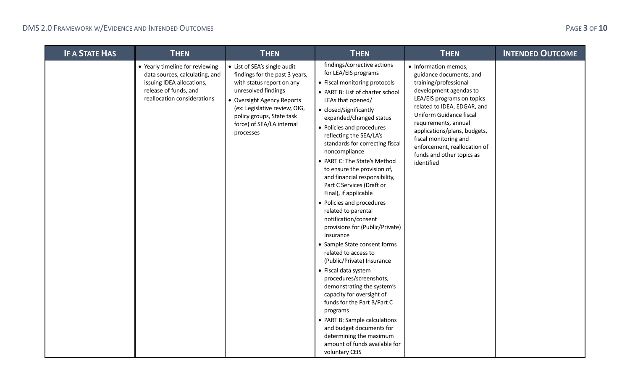| <b>IF A STATE HAS</b> | <b>THEN</b>                                                                                                                                            | <b>THEN</b>                                                                                                                                                                                                                                              | <b>THEN</b>                                                                                                                                                                                                                                                                                                                                                                                                                                                                                                                                                                                                                                                                                                                                                                                                                                                                                                                                                                                | <b>THEN</b>                                                                                                                                                                                                                                                                                                                                            | <b>INTENDED OUTCOME</b> |
|-----------------------|--------------------------------------------------------------------------------------------------------------------------------------------------------|----------------------------------------------------------------------------------------------------------------------------------------------------------------------------------------------------------------------------------------------------------|--------------------------------------------------------------------------------------------------------------------------------------------------------------------------------------------------------------------------------------------------------------------------------------------------------------------------------------------------------------------------------------------------------------------------------------------------------------------------------------------------------------------------------------------------------------------------------------------------------------------------------------------------------------------------------------------------------------------------------------------------------------------------------------------------------------------------------------------------------------------------------------------------------------------------------------------------------------------------------------------|--------------------------------------------------------------------------------------------------------------------------------------------------------------------------------------------------------------------------------------------------------------------------------------------------------------------------------------------------------|-------------------------|
|                       | • Yearly timeline for reviewing<br>data sources, calculating, and<br>issuing IDEA allocations,<br>release of funds, and<br>reallocation considerations | • List of SEA's single audit<br>findings for the past 3 years,<br>with status report on any<br>unresolved findings<br>• Oversight Agency Reports<br>(ex: Legislative review, OIG,<br>policy groups, State task<br>force) of SEA/LA internal<br>processes | findings/corrective actions<br>for LEA/EIS programs<br>• Fiscal monitoring protocols<br>• PART B: List of charter school<br>LEAs that opened/<br>• closed/significantly<br>expanded/changed status<br>• Policies and procedures<br>reflecting the SEA/LA's<br>standards for correcting fiscal<br>noncompliance<br>• PART C: The State's Method<br>to ensure the provision of,<br>and financial responsibility,<br>Part C Services (Draft or<br>Final), if applicable<br>• Policies and procedures<br>related to parental<br>notification/consent<br>provisions for (Public/Private)<br>Insurance<br>• Sample State consent forms<br>related to access to<br>(Public/Private) Insurance<br>• Fiscal data system<br>procedures/screenshots,<br>demonstrating the system's<br>capacity for oversight of<br>funds for the Part B/Part C<br>programs<br>• PART B: Sample calculations<br>and budget documents for<br>determining the maximum<br>amount of funds available for<br>voluntary CEIS | • Information memos,<br>guidance documents, and<br>training/professional<br>development agendas to<br>LEA/EIS programs on topics<br>related to IDEA, EDGAR, and<br>Uniform Guidance fiscal<br>requirements, annual<br>applications/plans, budgets,<br>fiscal monitoring and<br>enforcement, reallocation of<br>funds and other topics as<br>identified |                         |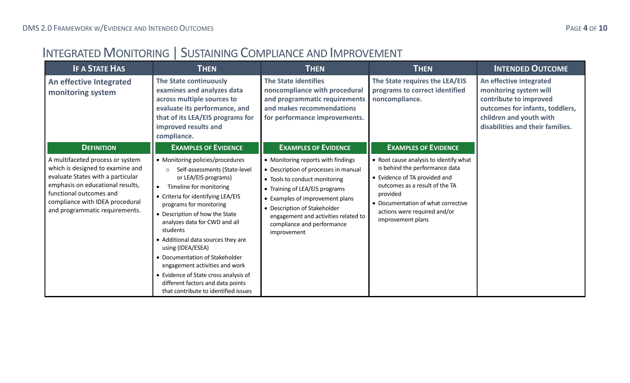## <span id="page-3-0"></span>INTEGRATED MONITORING | SUSTAINING COMPLIANCE AND IMPROVEMENT

| <b>IF A STATE HAS</b>                                                                                                                                                                                                                         | <b>THEN</b>                                                                                                                                                                                                                                                                                                                                                                                                                                                                                                                          | <b>THEN</b>                                                                                                                                                                                                                                                                                           | <b>THEN</b>                                                                                                                                                                                                                                        | <b>INTENDED OUTCOME</b>                                                                                                                                                       |
|-----------------------------------------------------------------------------------------------------------------------------------------------------------------------------------------------------------------------------------------------|--------------------------------------------------------------------------------------------------------------------------------------------------------------------------------------------------------------------------------------------------------------------------------------------------------------------------------------------------------------------------------------------------------------------------------------------------------------------------------------------------------------------------------------|-------------------------------------------------------------------------------------------------------------------------------------------------------------------------------------------------------------------------------------------------------------------------------------------------------|----------------------------------------------------------------------------------------------------------------------------------------------------------------------------------------------------------------------------------------------------|-------------------------------------------------------------------------------------------------------------------------------------------------------------------------------|
| An effective Integrated<br>monitoring system                                                                                                                                                                                                  | The State continuously<br>examines and analyzes data<br>across multiple sources to<br>evaluate its performance, and<br>that of its LEA/EIS programs for<br>improved results and<br>compliance.                                                                                                                                                                                                                                                                                                                                       | <b>The State identifies</b><br>noncompliance with procedural<br>and programmatic requirements<br>and makes recommendations<br>for performance improvements.                                                                                                                                           | The State requires the LEA/EIS<br>programs to correct identified<br>noncompliance.                                                                                                                                                                 | An effective integrated<br>monitoring system will<br>contribute to improved<br>outcomes for infants, toddlers,<br>children and youth with<br>disabilities and their families. |
| <b>DEFINITION</b>                                                                                                                                                                                                                             | <b>EXAMPLES OF EVIDENCE</b>                                                                                                                                                                                                                                                                                                                                                                                                                                                                                                          | <b>EXAMPLES OF EVIDENCE</b>                                                                                                                                                                                                                                                                           | <b>EXAMPLES OF EVIDENCE</b>                                                                                                                                                                                                                        |                                                                                                                                                                               |
| A multifaceted process or system<br>which is designed to examine and<br>evaluate States with a particular<br>emphasis on educational results,<br>functional outcomes and<br>compliance with IDEA procedural<br>and programmatic requirements. | • Monitoring policies/procedures<br>Self-assessments (State-level<br>$\circ$<br>or LEA/EIS programs)<br>Timeline for monitoring<br>• Criteria for identifying LEA/EIS<br>programs for monitoring<br>• Description of how the State<br>analyzes data for CWD and all<br>students<br>• Additional data sources they are<br>using (IDEA/ESEA)<br>• Documentation of Stakeholder<br>engagement activities and work<br>• Evidence of State cross analysis of<br>different factors and data points<br>that contribute to identified issues | • Monitoring reports with findings<br>• Description of processes in manual<br>• Tools to conduct monitoring<br>• Training of LEA/EIS programs<br>• Examples of improvement plans<br>• Description of Stakeholder<br>engagement and activities related to<br>compliance and performance<br>improvement | • Root cause analysis to identify what<br>is behind the performance data<br>• Evidence of TA provided and<br>outcomes as a result of the TA<br>provided<br>• Documentation of what corrective<br>actions were required and/or<br>improvement plans |                                                                                                                                                                               |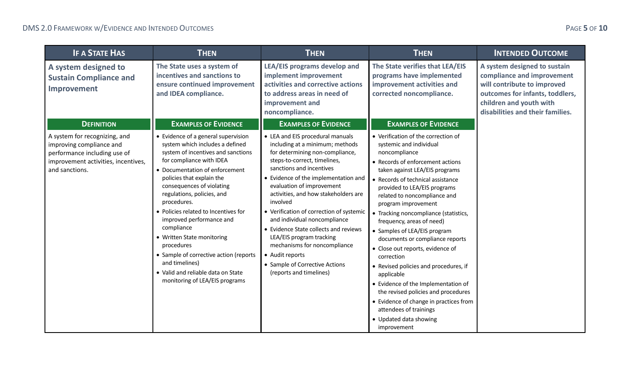| <b>IF A STATE HAS</b>                                                                                                                                                   | <b>THEN</b>                                                                                                                                                                                                                                                                                                                                                                                                                                                                                                                                      | <b>THEN</b>                                                                                                                                                                                                                                                                                                                                                                                                                                                                                                                                                                                 | <b>THEN</b>                                                                                                                                                                                                                                                                                                                                                                                                                                                                                                                                                        | <b>INTENDED OUTCOME</b>                                                                                                                                                                     |
|-------------------------------------------------------------------------------------------------------------------------------------------------------------------------|--------------------------------------------------------------------------------------------------------------------------------------------------------------------------------------------------------------------------------------------------------------------------------------------------------------------------------------------------------------------------------------------------------------------------------------------------------------------------------------------------------------------------------------------------|---------------------------------------------------------------------------------------------------------------------------------------------------------------------------------------------------------------------------------------------------------------------------------------------------------------------------------------------------------------------------------------------------------------------------------------------------------------------------------------------------------------------------------------------------------------------------------------------|--------------------------------------------------------------------------------------------------------------------------------------------------------------------------------------------------------------------------------------------------------------------------------------------------------------------------------------------------------------------------------------------------------------------------------------------------------------------------------------------------------------------------------------------------------------------|---------------------------------------------------------------------------------------------------------------------------------------------------------------------------------------------|
| A system designed to<br><b>Sustain Compliance and</b><br>Improvement                                                                                                    | The State uses a system of<br>incentives and sanctions to<br>ensure continued improvement<br>and IDEA compliance.                                                                                                                                                                                                                                                                                                                                                                                                                                | LEA/EIS programs develop and<br>implement improvement<br>activities and corrective actions<br>to address areas in need of<br>improvement and<br>noncompliance.                                                                                                                                                                                                                                                                                                                                                                                                                              | The State verifies that LEA/EIS<br>programs have implemented<br>improvement activities and<br>corrected noncompliance.                                                                                                                                                                                                                                                                                                                                                                                                                                             | A system designed to sustain<br>compliance and improvement<br>will contribute to improved<br>outcomes for infants, toddlers,<br>children and youth with<br>disabilities and their families. |
| <b>DEFINITION</b><br>A system for recognizing, and<br>improving compliance and<br>performance including use of<br>improvement activities, incentives,<br>and sanctions. | <b>EXAMPLES OF EVIDENCE</b><br>• Evidence of a general supervision<br>system which includes a defined<br>system of incentives and sanctions<br>for compliance with IDEA<br>• Documentation of enforcement<br>policies that explain the<br>consequences of violating<br>regulations, policies, and<br>procedures.<br>• Policies related to Incentives for<br>improved performance and<br>compliance<br>• Written State monitoring<br>procedures<br>• Sample of corrective action (reports<br>and timelines)<br>• Valid and reliable data on State | <b>EXAMPLES OF EVIDENCE</b><br>• LEA and EIS procedural manuals<br>including at a minimum; methods<br>for determining non-compliance,<br>steps-to-correct, timelines,<br>sanctions and incentives<br>• Evidence of the implementation and<br>evaluation of improvement<br>activities, and how stakeholders are<br>involved<br>• Verification of correction of systemic<br>and individual noncompliance<br>• Evidence State collects and reviews<br>LEA/EIS program tracking<br>mechanisms for noncompliance<br>• Audit reports<br>• Sample of Corrective Actions<br>(reports and timelines) | <b>EXAMPLES OF EVIDENCE</b><br>• Verification of the correction of<br>systemic and individual<br>noncompliance<br>• Records of enforcement actions<br>taken against LEA/EIS programs<br>• Records of technical assistance<br>provided to LEA/EIS programs<br>related to noncompliance and<br>program improvement<br>• Tracking noncompliance (statistics,<br>frequency, areas of need)<br>• Samples of LEA/EIS program<br>documents or compliance reports<br>• Close out reports, evidence of<br>correction<br>• Revised policies and procedures, if<br>applicable |                                                                                                                                                                                             |
|                                                                                                                                                                         | monitoring of LEA/EIS programs                                                                                                                                                                                                                                                                                                                                                                                                                                                                                                                   |                                                                                                                                                                                                                                                                                                                                                                                                                                                                                                                                                                                             | • Evidence of the Implementation of<br>the revised policies and procedures<br>• Evidence of change in practices from<br>attendees of trainings<br>• Updated data showing<br>improvement                                                                                                                                                                                                                                                                                                                                                                            |                                                                                                                                                                                             |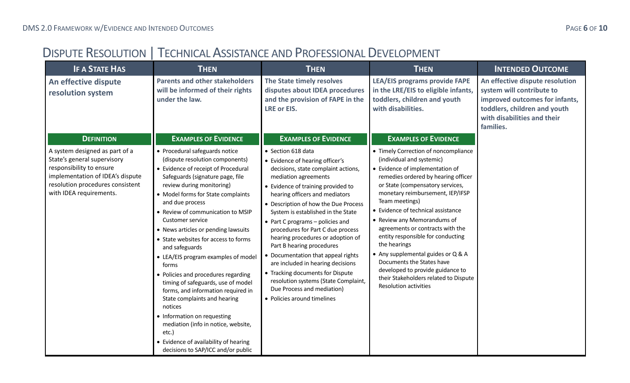## <span id="page-5-0"></span>DISPUTE RESOLUTION | TECHNICAL ASSISTANCE AND PROFESSIONAL DEVELOPMENT

| <b>IF A STATE HAS</b>                                                                                                                                                                        | <b>THEN</b>                                                                                                                                                                                                                                                                                                                                                                                                                                                                                                                                                                                                                                                                                                                                                                     | <b>THEN</b>                                                                                                                                                                                                                                                                                                                                                                                                                                                                                                                                                                                                                               | <b>THEN</b>                                                                                                                                                                                                                                                                                                                                                                                                                                                                                                                                                                  | <b>INTENDED OUTCOME</b>                                                                                                                                                    |
|----------------------------------------------------------------------------------------------------------------------------------------------------------------------------------------------|---------------------------------------------------------------------------------------------------------------------------------------------------------------------------------------------------------------------------------------------------------------------------------------------------------------------------------------------------------------------------------------------------------------------------------------------------------------------------------------------------------------------------------------------------------------------------------------------------------------------------------------------------------------------------------------------------------------------------------------------------------------------------------|-------------------------------------------------------------------------------------------------------------------------------------------------------------------------------------------------------------------------------------------------------------------------------------------------------------------------------------------------------------------------------------------------------------------------------------------------------------------------------------------------------------------------------------------------------------------------------------------------------------------------------------------|------------------------------------------------------------------------------------------------------------------------------------------------------------------------------------------------------------------------------------------------------------------------------------------------------------------------------------------------------------------------------------------------------------------------------------------------------------------------------------------------------------------------------------------------------------------------------|----------------------------------------------------------------------------------------------------------------------------------------------------------------------------|
| An effective dispute<br>resolution system                                                                                                                                                    | <b>Parents and other stakeholders</b><br>will be informed of their rights<br>under the law.                                                                                                                                                                                                                                                                                                                                                                                                                                                                                                                                                                                                                                                                                     | The State timely resolves<br>disputes about IDEA procedures<br>and the provision of FAPE in the<br><b>LRE or EIS.</b>                                                                                                                                                                                                                                                                                                                                                                                                                                                                                                                     | <b>LEA/EIS programs provide FAPE</b><br>in the LRE/EIS to eligible infants,<br>toddlers, children and youth<br>with disabilities.                                                                                                                                                                                                                                                                                                                                                                                                                                            | An effective dispute resolution<br>system will contribute to<br>improved outcomes for infants,<br>toddlers, children and youth<br>with disabilities and their<br>families. |
| <b>DEFINITION</b>                                                                                                                                                                            | <b>EXAMPLES OF EVIDENCE</b>                                                                                                                                                                                                                                                                                                                                                                                                                                                                                                                                                                                                                                                                                                                                                     | <b>EXAMPLES OF EVIDENCE</b>                                                                                                                                                                                                                                                                                                                                                                                                                                                                                                                                                                                                               | <b>EXAMPLES OF EVIDENCE</b>                                                                                                                                                                                                                                                                                                                                                                                                                                                                                                                                                  |                                                                                                                                                                            |
| A system designed as part of a<br>State's general supervisory<br>responsibility to ensure<br>implementation of IDEA's dispute<br>resolution procedures consistent<br>with IDEA requirements. | • Procedural safeguards notice<br>(dispute resolution components)<br>• Evidence of receipt of Procedural<br>Safeguards (signature page, file<br>review during monitoring)<br>• Model forms for State complaints<br>and due process<br>• Review of communication to MSIP<br><b>Customer service</b><br>• News articles or pending lawsuits<br>• State websites for access to forms<br>and safeguards<br>• LEA/EIS program examples of model<br>forms<br>• Policies and procedures regarding<br>timing of safeguards, use of model<br>forms, and information required in<br>State complaints and hearing<br>notices<br>• Information on requesting<br>mediation (info in notice, website,<br>etc.)<br>• Evidence of availability of hearing<br>decisions to SAP/ICC and/or public | • Section 618 data<br>• Evidence of hearing officer's<br>decisions, state complaint actions,<br>mediation agreements<br>• Evidence of training provided to<br>hearing officers and mediators<br>• Description of how the Due Process<br>System is established in the State<br>• Part C programs - policies and<br>procedures for Part C due process<br>hearing procedures or adoption of<br>Part B hearing procedures<br>• Documentation that appeal rights<br>are included in hearing decisions<br>• Tracking documents for Dispute<br>resolution systems (State Complaint,<br>Due Process and mediation)<br>• Policies around timelines | • Timely Correction of noncompliance<br>(individual and systemic)<br>• Evidence of implementation of<br>remedies ordered by hearing officer<br>or State (compensatory services,<br>monetary reimbursement, IEP/IFSP<br>Team meetings)<br>• Evidence of technical assistance<br>• Review any Memorandums of<br>agreements or contracts with the<br>entity responsible for conducting<br>the hearings<br>• Any supplemental guides or Q & A<br>Documents the States have<br>developed to provide guidance to<br>their Stakeholders related to Dispute<br>Resolution activities |                                                                                                                                                                            |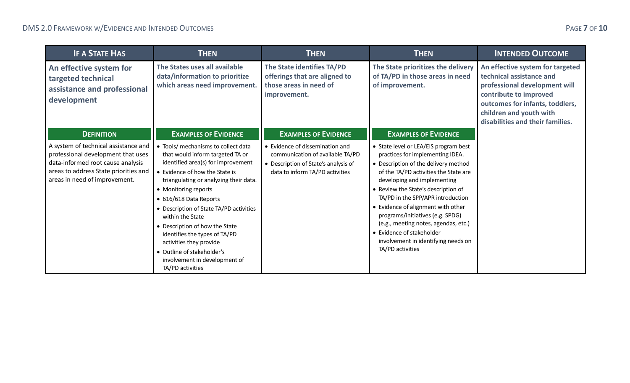| <b>IF A STATE HAS</b>                                                                                                                                                                     | <b>THEN</b>                                                                                                                                                                                                                                                                                                                                                                                                                                                                                 | <b>THEN</b>                                                                                                                                    | <b>THEN</b>                                                                                                                                                                                                                                                                                                                                                                                                                                                                     | <b>INTENDED OUTCOME</b>                                                                                                                                                                                                   |
|-------------------------------------------------------------------------------------------------------------------------------------------------------------------------------------------|---------------------------------------------------------------------------------------------------------------------------------------------------------------------------------------------------------------------------------------------------------------------------------------------------------------------------------------------------------------------------------------------------------------------------------------------------------------------------------------------|------------------------------------------------------------------------------------------------------------------------------------------------|---------------------------------------------------------------------------------------------------------------------------------------------------------------------------------------------------------------------------------------------------------------------------------------------------------------------------------------------------------------------------------------------------------------------------------------------------------------------------------|---------------------------------------------------------------------------------------------------------------------------------------------------------------------------------------------------------------------------|
| An effective system for<br>targeted technical<br>assistance and professional<br>development                                                                                               | The States uses all available<br>data/information to prioritize<br>which areas need improvement.                                                                                                                                                                                                                                                                                                                                                                                            | The State identifies TA/PD<br>offerings that are aligned to<br>those areas in need of<br>improvement.                                          | The State prioritizes the delivery<br>of TA/PD in those areas in need<br>of improvement.                                                                                                                                                                                                                                                                                                                                                                                        | An effective system for targeted<br>technical assistance and<br>professional development will<br>contribute to improved<br>outcomes for infants, toddlers,<br>children and youth with<br>disabilities and their families. |
| <b>DEFINITION</b>                                                                                                                                                                         | <b>EXAMPLES OF EVIDENCE</b>                                                                                                                                                                                                                                                                                                                                                                                                                                                                 | <b>EXAMPLES OF EVIDENCE</b>                                                                                                                    | <b>EXAMPLES OF EVIDENCE</b>                                                                                                                                                                                                                                                                                                                                                                                                                                                     |                                                                                                                                                                                                                           |
| A system of technical assistance and<br>professional development that uses<br>data-informed root cause analysis<br>areas to address State priorities and<br>areas in need of improvement. | • Tools/ mechanisms to collect data<br>that would inform targeted TA or<br>identified area(s) for improvement<br>• Evidence of how the State is<br>triangulating or analyzing their data.<br>• Monitoring reports<br>• 616/618 Data Reports<br>• Description of State TA/PD activities<br>within the State<br>• Description of how the State<br>identifies the types of TA/PD<br>activities they provide<br>• Outline of stakeholder's<br>involvement in development of<br>TA/PD activities | • Evidence of dissemination and<br>communication of available TA/PD<br>• Description of State's analysis of<br>data to inform TA/PD activities | • State level or LEA/EIS program best<br>practices for implementing IDEA.<br>• Description of the delivery method<br>of the TA/PD activities the State are<br>developing and implementing<br>• Review the State's description of<br>TA/PD in the SPP/APR introduction<br>• Evidence of alignment with other<br>programs/initiatives (e.g. SPDG)<br>(e.g., meeting notes, agendas, etc.)<br>• Evidence of stakeholder<br>involvement in identifying needs on<br>TA/PD activities |                                                                                                                                                                                                                           |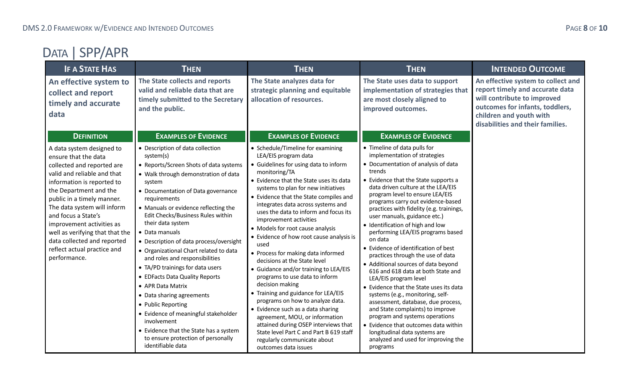<span id="page-7-0"></span>

| <b>IF A STATE HAS</b>                                                                                                                                                                                                                                                                                                                                                                                    | <b>THEN</b>                                                                                                                                                                                                                                                                                                                                                                                                                                                                                                                                                                                                                                                                                                                                          | <b>THEN</b>                                                                                                                                                                                                                                                                                                                                                                                                                                                                                                                                                                                                                                                                                                                                                                                                                                                                                                      | <b>THEN</b>                                                                                                                                                                                                                                                                                                                                                                                                                                                                                                                                                                                                                                                                                                                                                                                                                                                                                                                                   | <b>INTENDED OUTCOME</b>                                                                                                                                                                                |
|----------------------------------------------------------------------------------------------------------------------------------------------------------------------------------------------------------------------------------------------------------------------------------------------------------------------------------------------------------------------------------------------------------|------------------------------------------------------------------------------------------------------------------------------------------------------------------------------------------------------------------------------------------------------------------------------------------------------------------------------------------------------------------------------------------------------------------------------------------------------------------------------------------------------------------------------------------------------------------------------------------------------------------------------------------------------------------------------------------------------------------------------------------------------|------------------------------------------------------------------------------------------------------------------------------------------------------------------------------------------------------------------------------------------------------------------------------------------------------------------------------------------------------------------------------------------------------------------------------------------------------------------------------------------------------------------------------------------------------------------------------------------------------------------------------------------------------------------------------------------------------------------------------------------------------------------------------------------------------------------------------------------------------------------------------------------------------------------|-----------------------------------------------------------------------------------------------------------------------------------------------------------------------------------------------------------------------------------------------------------------------------------------------------------------------------------------------------------------------------------------------------------------------------------------------------------------------------------------------------------------------------------------------------------------------------------------------------------------------------------------------------------------------------------------------------------------------------------------------------------------------------------------------------------------------------------------------------------------------------------------------------------------------------------------------|--------------------------------------------------------------------------------------------------------------------------------------------------------------------------------------------------------|
| An effective system to<br>collect and report<br>timely and accurate<br>data                                                                                                                                                                                                                                                                                                                              | The State collects and reports<br>valid and reliable data that are<br>timely submitted to the Secretary<br>and the public.                                                                                                                                                                                                                                                                                                                                                                                                                                                                                                                                                                                                                           | The State analyzes data for<br>strategic planning and equitable<br>allocation of resources.                                                                                                                                                                                                                                                                                                                                                                                                                                                                                                                                                                                                                                                                                                                                                                                                                      | The State uses data to support<br>implementation of strategies that<br>are most closely aligned to<br>improved outcomes.                                                                                                                                                                                                                                                                                                                                                                                                                                                                                                                                                                                                                                                                                                                                                                                                                      | An effective system to collect and<br>report timely and accurate data<br>will contribute to improved<br>outcomes for infants, toddlers,<br>children and youth with<br>disabilities and their families. |
| <b>DEFINITION</b>                                                                                                                                                                                                                                                                                                                                                                                        | <b>EXAMPLES OF EVIDENCE</b>                                                                                                                                                                                                                                                                                                                                                                                                                                                                                                                                                                                                                                                                                                                          | <b>EXAMPLES OF EVIDENCE</b>                                                                                                                                                                                                                                                                                                                                                                                                                                                                                                                                                                                                                                                                                                                                                                                                                                                                                      | <b>EXAMPLES OF EVIDENCE</b>                                                                                                                                                                                                                                                                                                                                                                                                                                                                                                                                                                                                                                                                                                                                                                                                                                                                                                                   |                                                                                                                                                                                                        |
| A data system designed to<br>ensure that the data<br>collected and reported are<br>valid and reliable and that<br>information is reported to<br>the Department and the<br>public in a timely manner.<br>The data system will inform<br>and focus a State's<br>improvement activities as<br>well as verifying that that the<br>data collected and reported<br>reflect actual practice and<br>performance. | • Description of data collection<br>system(s)<br>• Reports/Screen Shots of data systems<br>• Walk through demonstration of data<br>system<br>• Documentation of Data governance<br>requirements<br>• Manuals or evidence reflecting the<br>Edit Checks/Business Rules within<br>their data system<br>• Data manuals<br>• Description of data process/oversight<br>• Organizational Chart related to data<br>and roles and responsibilities<br>• TA/PD trainings for data users<br>• EDFacts Data Quality Reports<br>• APR Data Matrix<br>• Data sharing agreements<br>• Public Reporting<br>• Evidence of meaningful stakeholder<br>involvement<br>• Evidence that the State has a system<br>to ensure protection of personally<br>identifiable data | • Schedule/Timeline for examining<br>LEA/EIS program data<br>• Guidelines for using data to inform<br>monitoring/TA<br>• Evidence that the State uses its data<br>systems to plan for new initiatives<br>• Evidence that the State compiles and<br>integrates data across systems and<br>uses the data to inform and focus its<br>improvement activities<br>• Models for root cause analysis<br>• Evidence of how root cause analysis is<br>used<br>• Process for making data informed<br>decisions at the State level<br>• Guidance and/or training to LEA/EIS<br>programs to use data to inform<br>decision making<br>• Training and guidance for LEA/EIS<br>programs on how to analyze data.<br>• Evidence such as a data sharing<br>agreement, MOU, or information<br>attained during OSEP interviews that<br>State level Part C and Part B 619 staff<br>regularly communicate about<br>outcomes data issues | • Timeline of data pulls for<br>implementation of strategies<br>• Documentation of analysis of data<br>trends<br>• Evidence that the State supports a<br>data driven culture at the LEA/EIS<br>program level to ensure LEA/EIS<br>programs carry out evidence-based<br>practices with fidelity (e.g. trainings,<br>user manuals, guidance etc.)<br>• Identification of high and low<br>performing LEA/EIS programs based<br>on data<br>• Evidence of identification of best<br>practices through the use of data<br>• Additional sources of data beyond<br>616 and 618 data at both State and<br>LEA/EIS program level<br>• Evidence that the State uses its data<br>systems (e.g., monitoring, self-<br>assessment, database, due process,<br>and State complaints) to improve<br>program and systems operations<br>• Evidence that outcomes data within<br>longitudinal data systems are<br>analyzed and used for improving the<br>programs |                                                                                                                                                                                                        |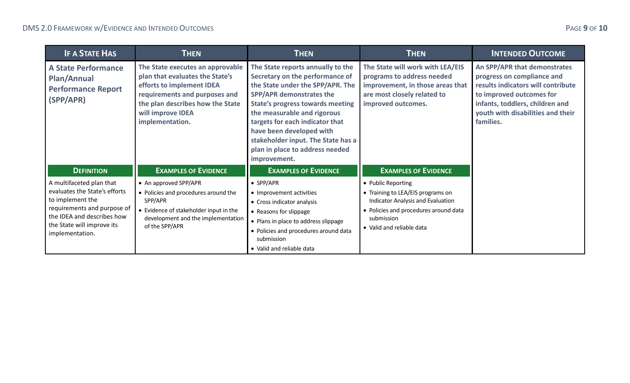| <b>IF A STATE HAS</b>                                                                                                                                                                       | <b>THEN</b>                                                                                                                                                                                                   | <b>THEN</b>                                                                                                                                                                                                                                                                                                                                                                   | <b>THEN</b>                                                                                                                                                                      | <b>INTENDED OUTCOME</b>                                                                                                                                                                                           |
|---------------------------------------------------------------------------------------------------------------------------------------------------------------------------------------------|---------------------------------------------------------------------------------------------------------------------------------------------------------------------------------------------------------------|-------------------------------------------------------------------------------------------------------------------------------------------------------------------------------------------------------------------------------------------------------------------------------------------------------------------------------------------------------------------------------|----------------------------------------------------------------------------------------------------------------------------------------------------------------------------------|-------------------------------------------------------------------------------------------------------------------------------------------------------------------------------------------------------------------|
| <b>A State Performance</b><br><b>Plan/Annual</b><br><b>Performance Report</b><br>(SPP/APR)                                                                                                  | The State executes an approvable<br>plan that evaluates the State's<br>efforts to implement IDEA<br>requirements and purposes and<br>the plan describes how the State<br>will improve IDEA<br>implementation. | The State reports annually to the<br>Secretary on the performance of<br>the State under the SPP/APR. The<br><b>SPP/APR demonstrates the</b><br><b>State's progress towards meeting</b><br>the measurable and rigorous<br>targets for each indicator that<br>have been developed with<br>stakeholder input. The State has a<br>plan in place to address needed<br>improvement. | The State will work with LEA/EIS<br>programs to address needed<br>improvement, in those areas that<br>are most closely related to<br>improved outcomes.                          | An SPP/APR that demonstrates<br>progress on compliance and<br>results indicators will contribute<br>to improved outcomes for<br>infants, toddlers, children and<br>youth with disabilities and their<br>families. |
| <b>DEFINITION</b>                                                                                                                                                                           | <b>EXAMPLES OF EVIDENCE</b>                                                                                                                                                                                   | <b>EXAMPLES OF EVIDENCE</b>                                                                                                                                                                                                                                                                                                                                                   | <b>EXAMPLES OF EVIDENCE</b>                                                                                                                                                      |                                                                                                                                                                                                                   |
| A multifaceted plan that<br>evaluates the State's efforts<br>to implement the<br>requirements and purpose of<br>the IDEA and describes how<br>the State will improve its<br>implementation. | • An approved SPP/APR<br>• Policies and procedures around the<br>SPP/APR<br>• Evidence of stakeholder input in the<br>development and the implementation<br>of the SPP/APR                                    | $\bullet$ SPP/APR<br>• Improvement activities<br>• Cross indicator analysis<br>• Reasons for slippage<br>• Plans in place to address slippage<br>• Policies and procedures around data<br>submission<br>• Valid and reliable data                                                                                                                                             | • Public Reporting<br>• Training to LEA/EIS programs on<br>Indicator Analysis and Evaluation<br>• Policies and procedures around data<br>submission<br>• Valid and reliable data |                                                                                                                                                                                                                   |